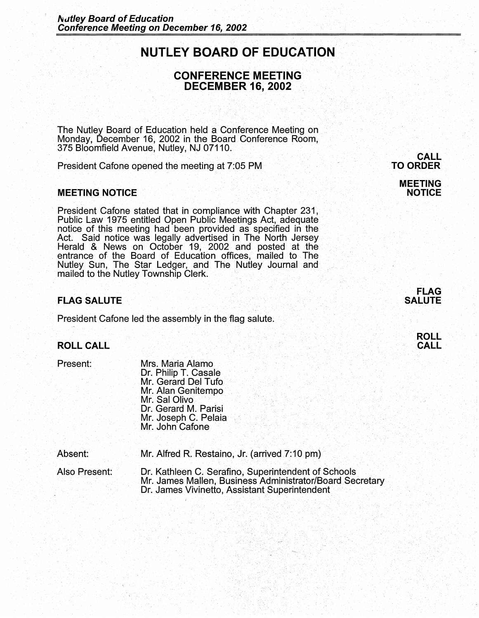# . **NUTLEY BOARD OF EDUCATION**

# **CONFERENCE MEETING DECEMBER 16, 2002**

. ' •, . ·-- ·.

The Nutley Board of Education held a Conference Meeting on Monday, December 16, 2002 in the Board· Conference Room, 375 Bloomfield Avenue, Nutley, NJ 07110.

. . .. ·, .. ·. ·.' . ·. . . . ·. ..··. ' ·.· .. ' . .. ·:···· :· *:* : ··. . .:·

President Cafone opened the meeting at 7:05 PM

#### **MEETING NOTICE**

President Cafone stated that in compliance with Chapter 231, Public Law 1975 entitled Open Public Meetings Act, adequate notice of this meeting had been provided as specified in the Act. Said notice was legally advertised in The North Jersey Herald & News on October 19, 2002 and posted at the entrance of the Board of Education offices, mailed to The Nutley Sun, The Star Ledger, and The Nutley Journal and mailed to the Nutley Township Clerk.

## **FLAG SALUTE**

President Cafone led the assembly in the flag salute.

# **ROLL CALL** . The significant in the state of the state of the state of the state  $\mathsf{CALL}$

Present: Mrs. Maria Alamo Dr. Philip T. Casale Mr. Gerard Del Tufo<br>Mr. Alan Genitempo Mr. Sal Olivo .<br>Dr. Gerard M. Parisi Mr. Joseph C. Pelaia<br>Mr. John Cafone

Absent: Mr. Alfred R. Restaino, Jr. (arrived 7:10 pm)

Also Present: *Dr. Kathleen C. Serafino, Superintendent of Schools*<br>Mr. James Mallen, Business Administrator/Board Secretary Dr. James Vivinetto, Assistant Superintendent

#### **CALL .TO ORDER**

## **MEETING NOTICE**



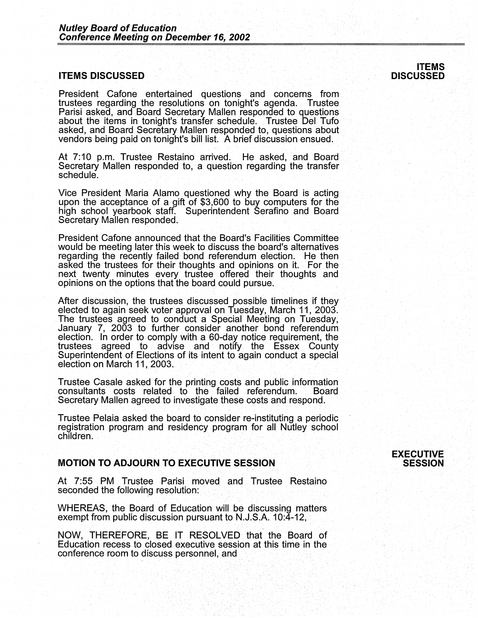#### **ITEMS.DISCUSSED**

President Cafone entertained questions and concerns from trustees regarding the resolutions on tonight's agenda. Trustee Parisi asked, and Board Secretary Mallen responded to questions about the items in tonight's transfer schedule. Trustee Del Tufo asked, and Board Secretary Mallen responded to, questions about vendors being paid on tonight's bill list. A brief discussion ensued.

At 7:10 p.m. Trustee Restaino arrived. He asked, and Board Secretary Mallen responded to, a question regarding the transfer schedule.

Vice President Maria Alamo questioned why the Board is acting upon the acceptance of a gift of \$3,600 to buy computers for the high school yearbook staff. Superintendent Serafino and Board Secretary Mallen responded.

President Cafone announced that the Board's Facilities Committee would be meeting later this week to discuss the board's alternatives regarding the recently failed bond referendum election. He then asked the trustees for their thoughts and opinions on it. For the next twenty minutes every trustee offered their thoughts and opinions on the options that the board could pursue.

After discussion, the trustees discussed possible timelines if they elected to again seek voter approval on Tuesday, March 11, 2003. The trustees agreed to conduct a Special Meeting on Tuesday, January 7, 2003 to further consider another bond referendum election. In order to comply with a 60-day notice requirement, the trustees agreed to advise and notify the Essex County Superintendent of Elections of its intent to again conduct a special election on March 11, 2003.

Trustee Casale asked for the printing costs and public information consultants costs related to the failed referendum. Board Secretary Mallen agreed to investigate these costs and respond.

Trustee Pelaia asked the board to consider re-instituting a periodic registration program and residency program for all Nutley school children.

# **MOTION TO ADJOURN TO EXECUTIVE SESSION**

At 7:55 PM Trustee Parisi moved and Trustee Restaino seconded the following resolution:

WHEREAS, the Board of Education will be discussing matters exempt from public discussion pursuant to N.J.S.A. 10:4-12,

NOW, THEREFORE, BE IT RESOLVED that the Board of Education recess to closed executive session at this time in the conference room to discuss personnel, and

#### **ITEMS DISCUSSED**

#### · **EXECUTIVE SESSION**